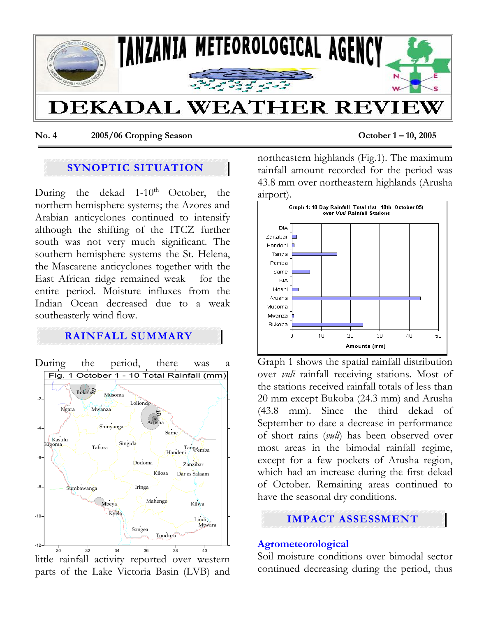

**No. 4 2005/06 Cropping Season October 1 – 10, 2005** 

## **SYNOPTIC SITUATION**

During the dekad  $1-10^{th}$  October, the northern hemisphere systems; the Azores and Arabian anticyclones continued to intensify although the shifting of the ITCZ further south was not very much significant. The southern hemisphere systems the St. Helena, the Mascarene anticyclones together with the East African ridge remained weak for the entire period. Moisture influxes from the Indian Ocean decreased due to a weak southeasterly wind flow.

## **RAINFALL SUMMARY**



little rainfall activity reported over western parts of the Lake Victoria Basin (LVB) and northeastern highlands (Fig.1). The maximum rainfall amount recorded for the period was 43.8 mm over northeastern highlands (Arusha airport).



Graph 1 shows the spatial rainfall distribution over *vuli* rainfall receiving stations. Most of the stations received rainfall totals of less than 20 mm except Bukoba (24.3 mm) and Arusha (43.8 mm). Since the third dekad of September to date a decrease in performance of short rains (*vuli*) has been observed over most areas in the bimodal rainfall regime, except for a few pockets of Arusha region, which had an increase during the first dekad of October. Remaining areas continued to have the seasonal dry conditions.

# **IMPACT ASSESSMENT**

#### **Agrometeorological**

Soil moisture conditions over bimodal sector continued decreasing during the period, thus